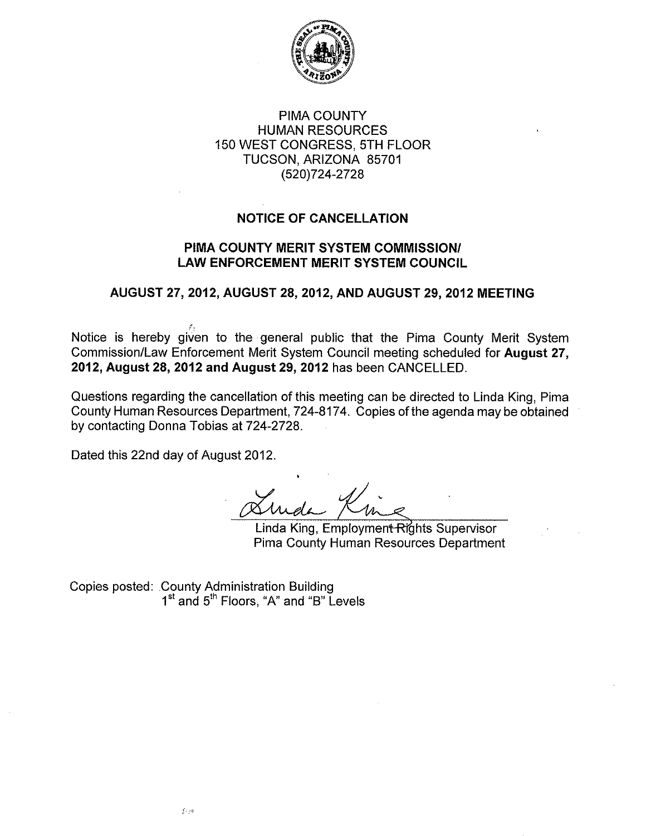

### **PIMA COUNTY HUMAN RESOURCES** 150 WEST CONGRESS, 5TH FLOOR TUCSON, ARIZONA 85701 (520) 724-2728

## **NOTICE OF CANCELLATION**

#### PIMA COUNTY MERIT SYSTEM COMMISSION/ **LAW ENFORCEMENT MERIT SYSTEM COUNCIL**

### AUGUST 27, 2012, AUGUST 28, 2012, AND AUGUST 29, 2012 MEETING

Notice is hereby given to the general public that the Pima County Merit System Commission/Law Enforcement Merit System Council meeting scheduled for August 27, 2012, August 28, 2012 and August 29, 2012 has been CANCELLED.

Questions regarding the cancellation of this meeting can be directed to Linda King, Pima County Human Resources Department, 724-8174. Copies of the agenda may be obtained by contacting Donna Tobias at 724-2728.

Dated this 22nd day of August 2012.

Linda King, Employment Rights Supervisor **Pima County Human Resources Department** 

Copies posted: County Administration Building<br>1<sup>st</sup> and 5<sup>th</sup> Floors, "A" and "B" Levels